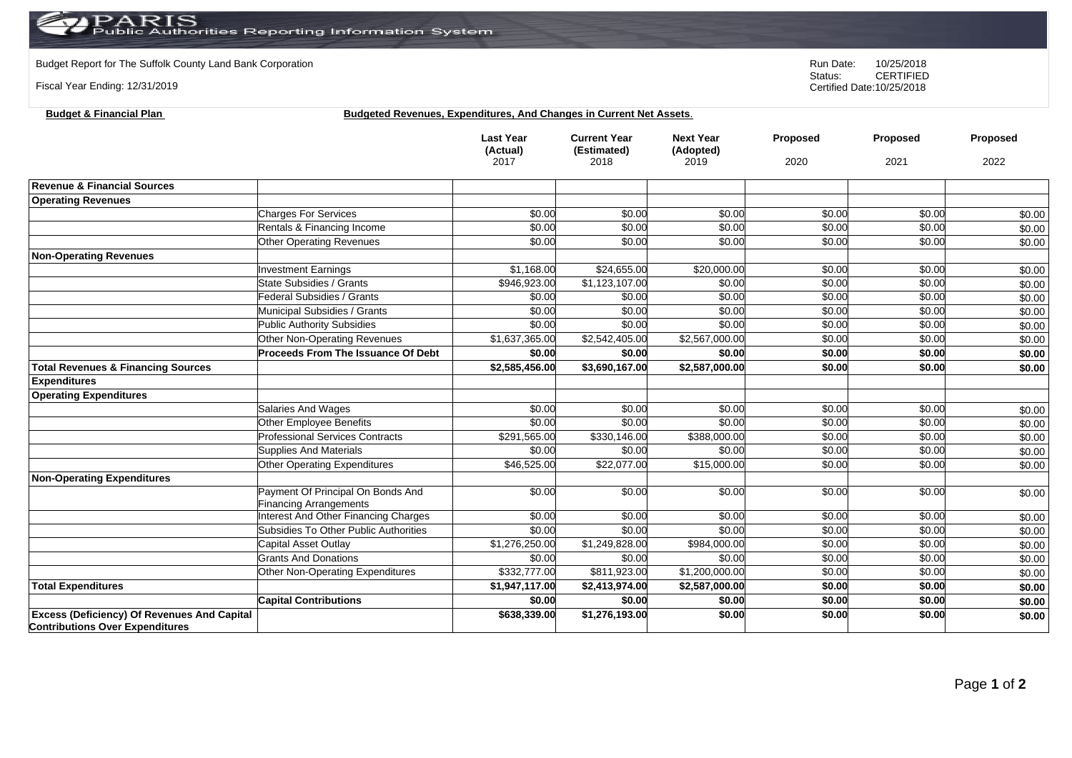## PARIS<br>Public Authorities Reporting Information System

**Budget & Financial Plan Budgeted Revenues, Expenditures, And Changes in Current Net Assets**.

Budget Report for The Suffolk County Land Bank Corporation **Run Date:** 10/25/2018<br>Status: CERTIFIED

Fiscal Year Ending: 12/31/2019

CERTIFIED Certified Date:10/25/2018

|                                                                                              |                                         | <b>Last Year</b><br>(Actual)<br>2017 | <b>Current Year</b><br>(Estimated)<br>2018 | <b>Next Year</b><br>(Adopted)<br>2019 | Proposed<br>2020 | Proposed<br>2021 | Proposed<br>2022 |
|----------------------------------------------------------------------------------------------|-----------------------------------------|--------------------------------------|--------------------------------------------|---------------------------------------|------------------|------------------|------------------|
|                                                                                              |                                         |                                      |                                            |                                       |                  |                  |                  |
| <b>Revenue &amp; Financial Sources</b>                                                       |                                         |                                      |                                            |                                       |                  |                  |                  |
| <b>Operating Revenues</b>                                                                    |                                         |                                      |                                            |                                       |                  |                  |                  |
|                                                                                              | <b>Charges For Services</b>             | \$0.00                               | \$0.00                                     | \$0.00                                | \$0.00           | \$0.00           | \$0.00           |
|                                                                                              | Rentals & Financing Income              | \$0.00                               | \$0.00                                     | \$0.00                                | \$0.00           | \$0.00           | \$0.00           |
|                                                                                              | <b>Other Operating Revenues</b>         | \$0.00                               | \$0.00                                     | \$0.00                                | \$0.00           | \$0.00           | \$0.00           |
| <b>Non-Operating Revenues</b>                                                                |                                         |                                      |                                            |                                       |                  |                  |                  |
|                                                                                              | <b>Investment Earnings</b>              | \$1,168.00                           | \$24,655.00                                | \$20,000.00                           | \$0.00           | \$0.00           | \$0.00           |
|                                                                                              | <b>State Subsidies / Grants</b>         | \$946,923.00                         | \$1,123,107.00                             | \$0.00                                | \$0.00           | \$0.00           | \$0.00           |
|                                                                                              | Federal Subsidies / Grants              | \$0.00                               | \$0.00                                     | \$0.00                                | \$0.00           | \$0.00           | \$0.00           |
|                                                                                              | Municipal Subsidies / Grants            | \$0.00                               | \$0.00                                     | \$0.00                                | \$0.00           | \$0.00           | \$0.00           |
|                                                                                              | <b>Public Authority Subsidies</b>       | \$0.00                               | \$0.00                                     | \$0.00                                | \$0.00           | \$0.00           | \$0.00           |
|                                                                                              | <b>Other Non-Operating Revenues</b>     | \$1,637,365.00                       | \$2,542,405.00                             | \$2,567,000.00                        | \$0.00           | \$0.00           | \$0.00           |
|                                                                                              | Proceeds From The Issuance Of Debt      | \$0.00                               | \$0.00                                     | \$0.00                                | \$0.00           | \$0.00           | \$0.00           |
| <b>Total Revenues &amp; Financing Sources</b>                                                |                                         | \$2,585,456.00                       | \$3,690,167.00                             | \$2,587,000.00                        | \$0.00           | \$0.00           | \$0.00           |
| <b>Expenditures</b>                                                                          |                                         |                                      |                                            |                                       |                  |                  |                  |
| <b>Operating Expenditures</b>                                                                |                                         |                                      |                                            |                                       |                  |                  |                  |
|                                                                                              | <b>Salaries And Wages</b>               | \$0.00                               | \$0.00                                     | \$0.00                                | \$0.00           | \$0.00           | \$0.00           |
|                                                                                              | Other Employee Benefits                 | \$0.00                               | \$0.00                                     | \$0.00                                | \$0.00           | \$0.00           | \$0.00           |
|                                                                                              | <b>Professional Services Contracts</b>  | \$291,565.00                         | \$330,146.00                               | \$388,000.00                          | \$0.00           | \$0.00           | \$0.00           |
|                                                                                              | <b>Supplies And Materials</b>           | \$0.00                               | \$0.00                                     | \$0.00                                | \$0.00           | \$0.00           | \$0.00           |
|                                                                                              | <b>Other Operating Expenditures</b>     | \$46,525.00                          | \$22,077.00                                | \$15,000.00                           | \$0.00           | \$0.00           | \$0.00           |
| <b>Non-Operating Expenditures</b>                                                            |                                         |                                      |                                            |                                       |                  |                  |                  |
|                                                                                              | Payment Of Principal On Bonds And       | \$0.00                               | \$0.00                                     | \$0.00                                | \$0.00           | \$0.00           | \$0.00           |
|                                                                                              | <b>Financing Arrangements</b>           |                                      |                                            |                                       |                  |                  |                  |
|                                                                                              | Interest And Other Financing Charges    | \$0.00                               | \$0.00                                     | \$0.00                                | \$0.00           | \$0.00           | \$0.00           |
|                                                                                              | Subsidies To Other Public Authorities   | \$0.00                               | \$0.00                                     | \$0.00                                | \$0.00           | \$0.00           | \$0.00           |
|                                                                                              | Capital Asset Outlay                    | \$1,276,250.00                       | \$1,249,828.00                             | \$984,000.00                          | \$0.00           | \$0.00           | \$0.00           |
|                                                                                              | <b>Grants And Donations</b>             | \$0.00                               | \$0.00                                     | \$0.00                                | \$0.00           | \$0.00           | \$0.00           |
|                                                                                              | <b>Other Non-Operating Expenditures</b> | \$332,777.00                         | \$811,923.00                               | \$1,200,000.00                        | \$0.00           | \$0.00           | \$0.00           |
| <b>Total Expenditures</b>                                                                    |                                         | \$1,947,117.00                       | \$2,413,974.00                             | \$2,587,000.00                        | \$0.00           | \$0.00           | \$0.00           |
|                                                                                              | <b>Capital Contributions</b>            | \$0.00                               | \$0.00                                     | \$0.00                                | \$0.00           | \$0.00           | \$0.00           |
| <b>Excess (Deficiency) Of Revenues And Capital</b><br><b>Contributions Over Expenditures</b> |                                         | \$638,339.00                         | \$1,276,193.00                             | \$0.00                                | \$0.00           | \$0.00           | \$0.00           |